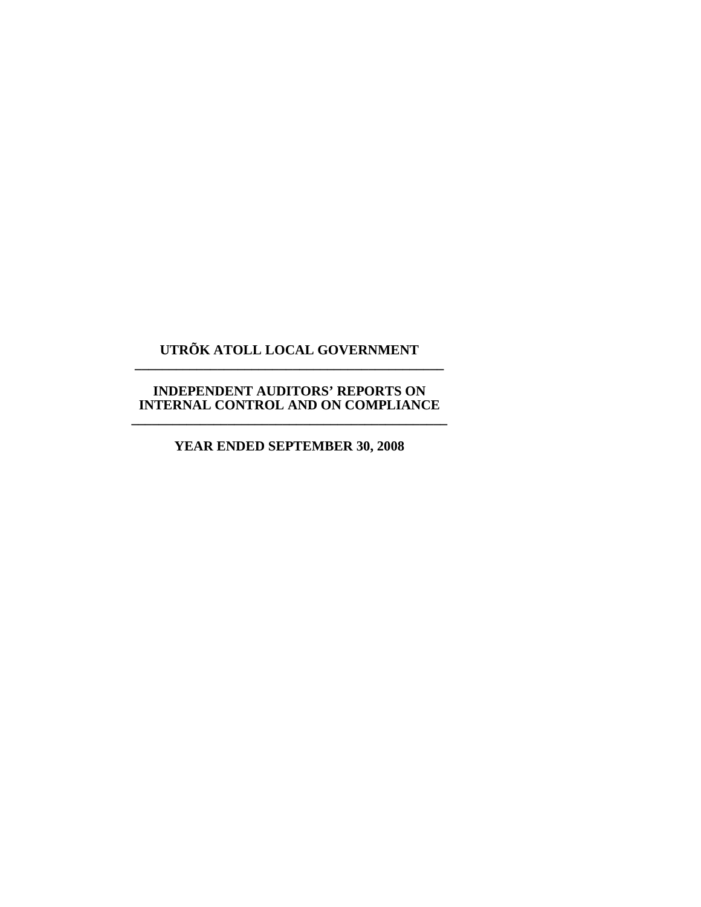## **UTRÕK ATOLL LOCAL GOVERNMENT \_\_\_\_\_\_\_\_\_\_\_\_\_\_\_\_\_\_\_\_\_\_\_\_\_\_\_\_\_\_\_\_\_\_\_\_\_\_\_\_\_\_\_\_\_**

#### **INDEPENDENT AUDITORS' REPORTS ON INTERNAL CONTROL AND ON COMPLIANCE \_\_\_\_\_\_\_\_\_\_\_\_\_\_\_\_\_\_\_\_\_\_\_\_\_\_\_\_\_\_\_\_\_\_\_\_\_\_\_\_\_\_\_\_\_\_**

## **YEAR ENDED SEPTEMBER 30, 2008**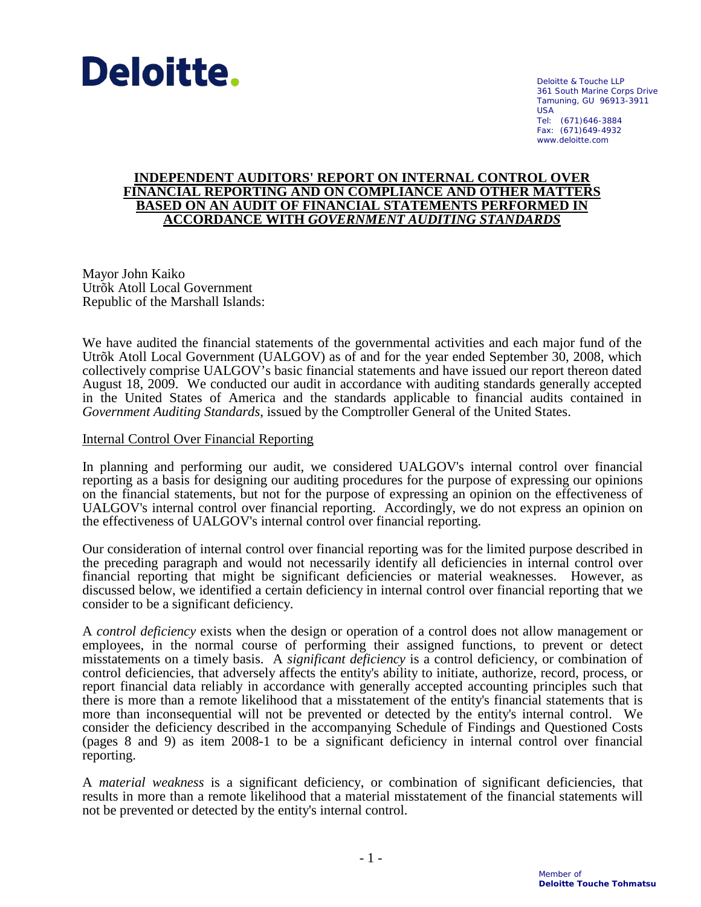

Deloitte & Touche LLP 361 South Marine Corps Drive Tamuning, GU 96913-3911 USA Tel: (671)646-3884 Fax: (671)649-4932 www.deloitte.com

#### **INDEPENDENT AUDITORS' REPORT ON INTERNAL CONTROL OVER FINANCIAL REPORTING AND ON COMPLIANCE AND OTHER MATTERS BASED ON AN AUDIT OF FINANCIAL STATEMENTS PERFORMED IN ACCORDANCE WITH** *GOVERNMENT AUDITING STANDARDS*

Mayor John Kaiko Utrõk Atoll Local Government Republic of the Marshall Islands:

We have audited the financial statements of the governmental activities and each major fund of the Utrõk Atoll Local Government (UALGOV) as of and for the year ended September 30, 2008, which collectively comprise UALGOV's basic financial statements and have issued our report thereon dated August 18, 2009. We conducted our audit in accordance with auditing standards generally accepted in the United States of America and the standards applicable to financial audits contained in *Government Auditing Standards*, issued by the Comptroller General of the United States.

#### Internal Control Over Financial Reporting

In planning and performing our audit, we considered UALGOV's internal control over financial reporting as a basis for designing our auditing procedures for the purpose of expressing our opinions on the financial statements, but not for the purpose of expressing an opinion on the effectiveness of UALGOV's internal control over financial reporting. Accordingly, we do not express an opinion on the effectiveness of UALGOV's internal control over financial reporting.

Our consideration of internal control over financial reporting was for the limited purpose described in the preceding paragraph and would not necessarily identify all deficiencies in internal control over financial reporting that might be significant deficiencies or material weaknesses. However, as discussed below, we identified a certain deficiency in internal control over financial reporting that we consider to be a significant deficiency.

A *control deficiency* exists when the design or operation of a control does not allow management or employees, in the normal course of performing their assigned functions, to prevent or detect misstatements on a timely basis. A *significant deficiency* is a control deficiency, or combination of control deficiencies, that adversely affects the entity's ability to initiate, authorize, record, process, or report financial data reliably in accordance with generally accepted accounting principles such that there is more than a remote likelihood that a misstatement of the entity's financial statements that is more than inconsequential will not be prevented or detected by the entity's internal control. We consider the deficiency described in the accompanying Schedule of Findings and Questioned Costs (pages 8 and 9) as item 2008-1 to be a significant deficiency in internal control over financial reporting.

A *material weakness* is a significant deficiency, or combination of significant deficiencies, that results in more than a remote likelihood that a material misstatement of the financial statements will not be prevented or detected by the entity's internal control.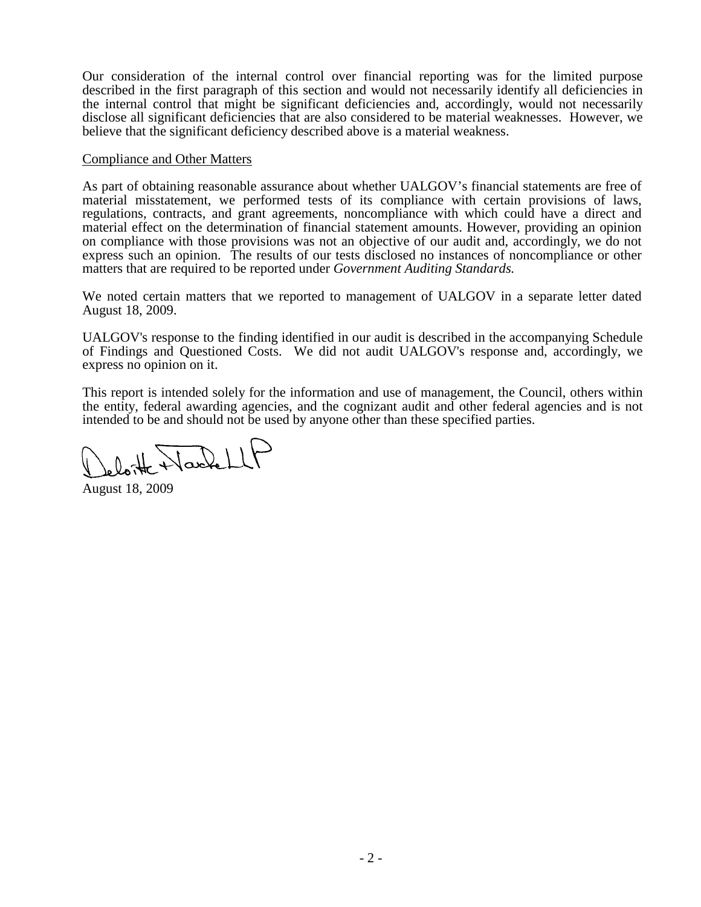Our consideration of the internal control over financial reporting was for the limited purpose described in the first paragraph of this section and would not necessarily identify all deficiencies in the internal control that might be significant deficiencies and, accordingly, would not necessarily disclose all significant deficiencies that are also considered to be material weaknesses. However, we believe that the significant deficiency described above is a material weakness.

#### Compliance and Other Matters

As part of obtaining reasonable assurance about whether UALGOV's financial statements are free of material misstatement, we performed tests of its compliance with certain provisions of laws, regulations, contracts, and grant agreements, noncompliance with which could have a direct and material effect on the determination of financial statement amounts. However, providing an opinion on compliance with those provisions was not an objective of our audit and, accordingly, we do not express such an opinion. The results of our tests disclosed no instances of noncompliance or other matters that are required to be reported under *Government Auditing Standards.*

We noted certain matters that we reported to management of UALGOV in a separate letter dated August 18, 2009.

UALGOV's response to the finding identified in our audit is described in the accompanying Schedule of Findings and Questioned Costs. We did not audit UALGOV's response and, accordingly, we express no opinion on it.

This report is intended solely for the information and use of management, the Council, others within the entity, federal awarding agencies, and the cognizant audit and other federal agencies and is not intended to be and should not be used by anyone other than these specified parties.

August 18, 2009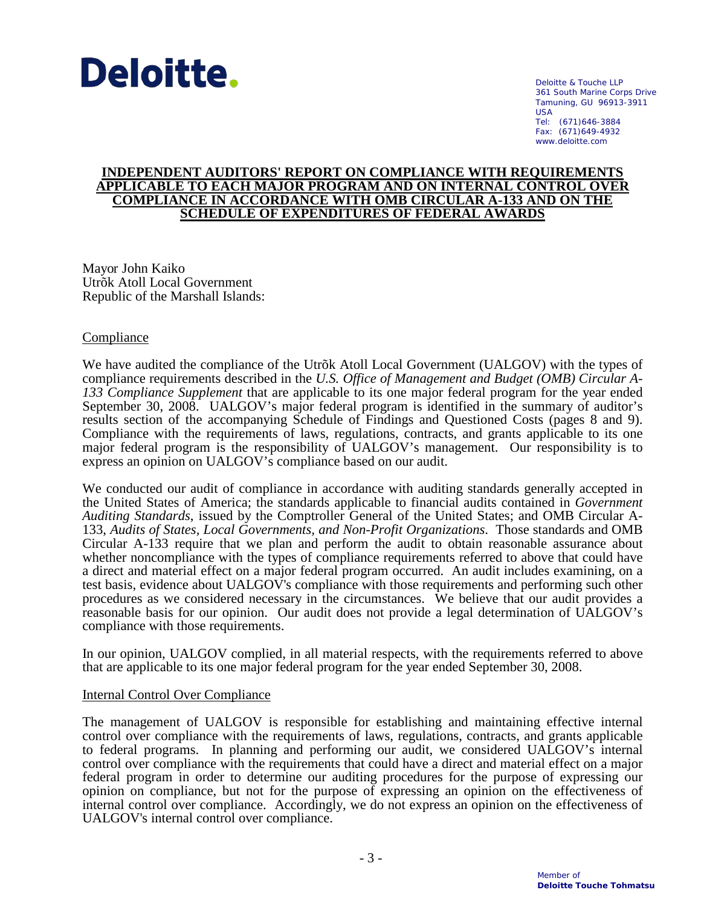

Deloitte & Touche LLP 361 South Marine Corps Drive Tamuning, GU 96913-3911 USA Tel: (671)646-3884 Fax: (671)649-4932 www.deloitte.com

#### **INDEPENDENT AUDITORS' REPORT ON COMPLIANCE WITH REQUIREMENTS APPLICABLE TO EACH MAJOR PROGRAM AND ON INTERNAL CONTROL OVER COMPLIANCE IN ACCORDANCE WITH OMB CIRCULAR A-133 AND ON THE SCHEDULE OF EXPENDITURES OF FEDERAL AWARDS**

Mayor John Kaiko Utrõk Atoll Local Government Republic of the Marshall Islands:

#### **Compliance**

We have audited the compliance of the Utrõk Atoll Local Government (UALGOV) with the types of compliance requirements described in the *U.S. Office of Management and Budget (OMB) Circular A-133 Compliance Supplement* that are applicable to its one major federal program for the year ended September 30, 2008. UALGOV's major federal program is identified in the summary of auditor's results section of the accompanying Schedule of Findings and Questioned Costs (pages 8 and 9). Compliance with the requirements of laws, regulations, contracts, and grants applicable to its one major federal program is the responsibility of UALGOV's management. Our responsibility is to express an opinion on UALGOV's compliance based on our audit.

We conducted our audit of compliance in accordance with auditing standards generally accepted in the United States of America; the standards applicable to financial audits contained in *Government Auditing Standards*, issued by the Comptroller General of the United States; and OMB Circular A-133, *Audits of States, Local Governments, and Non-Profit Organizations*. Those standards and OMB Circular A-133 require that we plan and perform the audit to obtain reasonable assurance about whether noncompliance with the types of compliance requirements referred to above that could have a direct and material effect on a major federal program occurred. An audit includes examining, on a test basis, evidence about UALGOV's compliance with those requirements and performing such other procedures as we considered necessary in the circumstances. We believe that our audit provides a reasonable basis for our opinion. Our audit does not provide a legal determination of UALGOV's compliance with those requirements.

In our opinion, UALGOV complied, in all material respects, with the requirements referred to above that are applicable to its one major federal program for the year ended September 30, 2008.

#### Internal Control Over Compliance

The management of UALGOV is responsible for establishing and maintaining effective internal control over compliance with the requirements of laws, regulations, contracts, and grants applicable to federal programs. In planning and performing our audit, we considered UALGOV's internal control over compliance with the requirements that could have a direct and material effect on a major federal program in order to determine our auditing procedures for the purpose of expressing our opinion on compliance, but not for the purpose of expressing an opinion on the effectiveness of internal control over compliance. Accordingly, we do not express an opinion on the effectiveness of UALGOV's internal control over compliance.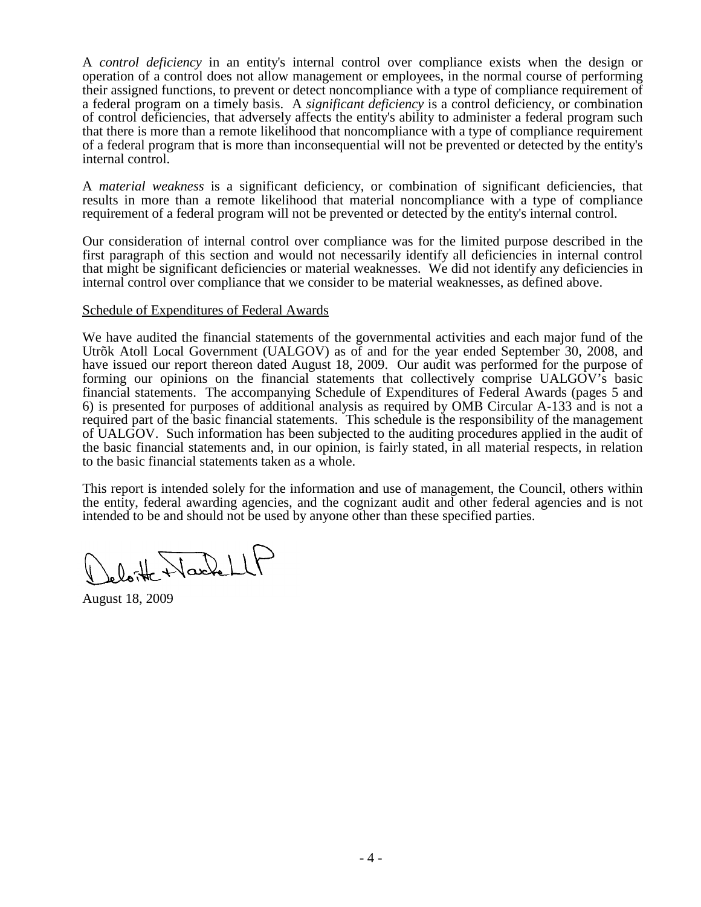A *control deficiency* in an entity's internal control over compliance exists when the design or operation of a control does not allow management or employees, in the normal course of performing their assigned functions, to prevent or detect noncompliance with a type of compliance requirement of a federal program on a timely basis. A *significant deficiency* is a control deficiency, or combination of control deficiencies, that adversely affects the entity's ability to administer a federal program such that there is more than a remote likelihood that noncompliance with a type of compliance requirement of a federal program that is more than inconsequential will not be prevented or detected by the entity's internal control.

A *material weakness* is a significant deficiency, or combination of significant deficiencies, that results in more than a remote likelihood that material noncompliance with a type of compliance requirement of a federal program will not be prevented or detected by the entity's internal control.

Our consideration of internal control over compliance was for the limited purpose described in the first paragraph of this section and would not necessarily identify all deficiencies in internal control that might be significant deficiencies or material weaknesses. We did not identify any deficiencies in internal control over compliance that we consider to be material weaknesses, as defined above.

#### Schedule of Expenditures of Federal Awards

We have audited the financial statements of the governmental activities and each major fund of the Utrõk Atoll Local Government (UALGOV) as of and for the year ended September 30, 2008, and have issued our report thereon dated August 18, 2009. Our audit was performed for the purpose of forming our opinions on the financial statements that collectively comprise UALGOV's basic financial statements. The accompanying Schedule of Expenditures of Federal Awards (pages 5 and 6) is presented for purposes of additional analysis as required by OMB Circular A-133 and is not a required part of the basic financial statements. This schedule is the responsibility of the management of UALGOV. Such information has been subjected to the auditing procedures applied in the audit of the basic financial statements and, in our opinion, is fairly stated, in all material respects, in relation to the basic financial statements taken as a whole.

This report is intended solely for the information and use of management, the Council, others within the entity, federal awarding agencies, and the cognizant audit and other federal agencies and is not intended to be and should not be used by anyone other than these specified parties.

Leloitte Nache LLF

August 18, 2009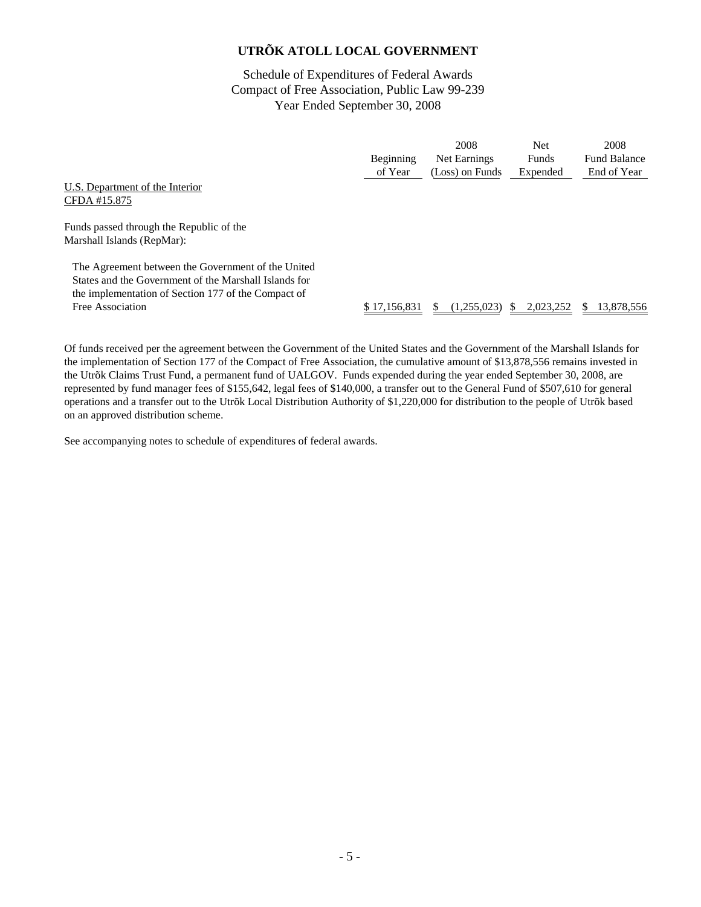Schedule of Expenditures of Federal Awards Compact of Free Association, Public Law 99-239 Year Ended September 30, 2008

|                                                                                                                                                                                        | Beginning    | 2008<br>Net Earnings | <b>Net</b><br>Funds | 2008<br><b>Fund Balance</b> |
|----------------------------------------------------------------------------------------------------------------------------------------------------------------------------------------|--------------|----------------------|---------------------|-----------------------------|
| U.S. Department of the Interior<br>CFDA #15.875                                                                                                                                        | of Year      | (Loss) on Funds      | Expended            | End of Year                 |
| Funds passed through the Republic of the<br>Marshall Islands (RepMar):                                                                                                                 |              |                      |                     |                             |
| The Agreement between the Government of the United<br>States and the Government of the Marshall Islands for<br>the implementation of Section 177 of the Compact of<br>Free Association | \$17,156,831 | (1,255,023)          | 2,023,252           | 13,878,556<br>S             |

Of funds received per the agreement between the Government of the United States and the Government of the Marshall Islands for the implementation of Section 177 of the Compact of Free Association, the cumulative amount of \$13,878,556 remains invested in the Utrõk Claims Trust Fund, a permanent fund of UALGOV. Funds expended during the year ended September 30, 2008, are represented by fund manager fees of \$155,642, legal fees of \$140,000, a transfer out to the General Fund of \$507,610 for general operations and a transfer out to the Utrõk Local Distribution Authority of \$1,220,000 for distribution to the people of Utrõk based on an approved distribution scheme.

See accompanying notes to schedule of expenditures of federal awards.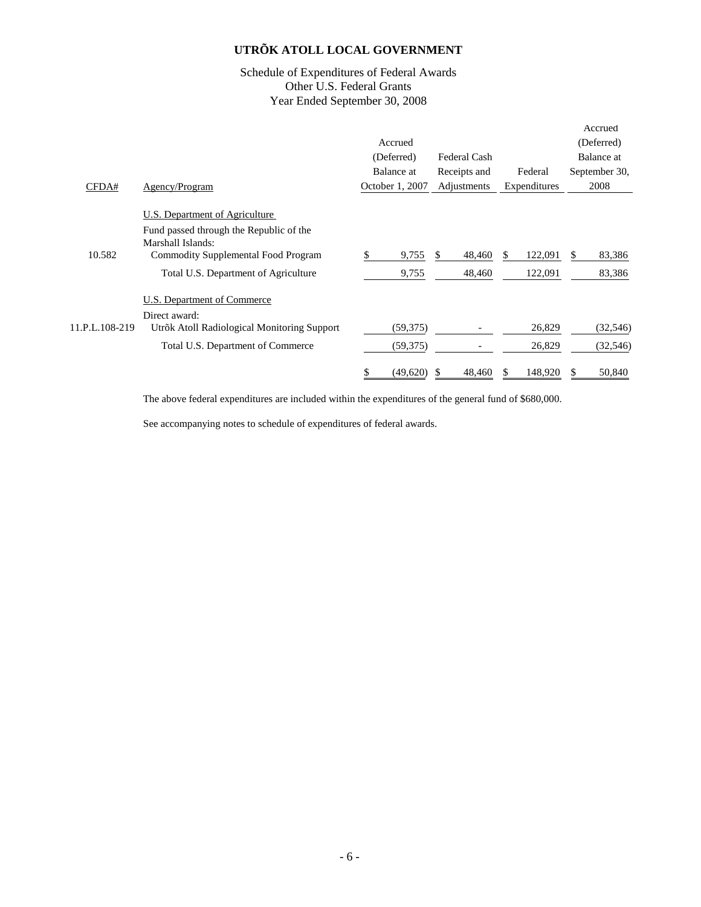#### Schedule of Expenditures of Federal Awards Other U.S. Federal Grants Year Ended September 30, 2008

|                |                                                                                                                                       |                 |              |                | Accrued       |
|----------------|---------------------------------------------------------------------------------------------------------------------------------------|-----------------|--------------|----------------|---------------|
|                |                                                                                                                                       | Accrued         |              |                | (Deferred)    |
|                |                                                                                                                                       | (Deferred)      | Federal Cash |                | Balance at    |
|                |                                                                                                                                       | Balance at      | Receipts and | Federal        | September 30, |
| CFDA#          | Agency/Program                                                                                                                        | October 1, 2007 | Adjustments  | Expenditures   | 2008          |
| 10.582         | U.S. Department of Agriculture<br>Fund passed through the Republic of the<br>Marshall Islands:<br>Commodity Supplemental Food Program | 9,755<br>S.     | 48,460<br>S. | 122,091<br>\$. | 83,386<br>S.  |
|                | Total U.S. Department of Agriculture                                                                                                  | 9,755           | 48,460       | 122,091        | 83,386        |
|                | U.S. Department of Commerce<br>Direct award:                                                                                          |                 |              |                |               |
| 11.P.L.108-219 | Utrõk Atoll Radiological Monitoring Support                                                                                           | (59,375)        |              | 26,829         | (32, 546)     |
|                | Total U.S. Department of Commerce                                                                                                     | (59, 375)       |              | 26,829         | (32, 546)     |
|                |                                                                                                                                       | (49,620)        | 48,460       | 148,920        | 50,840        |

The above federal expenditures are included within the expenditures of the general fund of \$680,000.

See accompanying notes to schedule of expenditures of federal awards.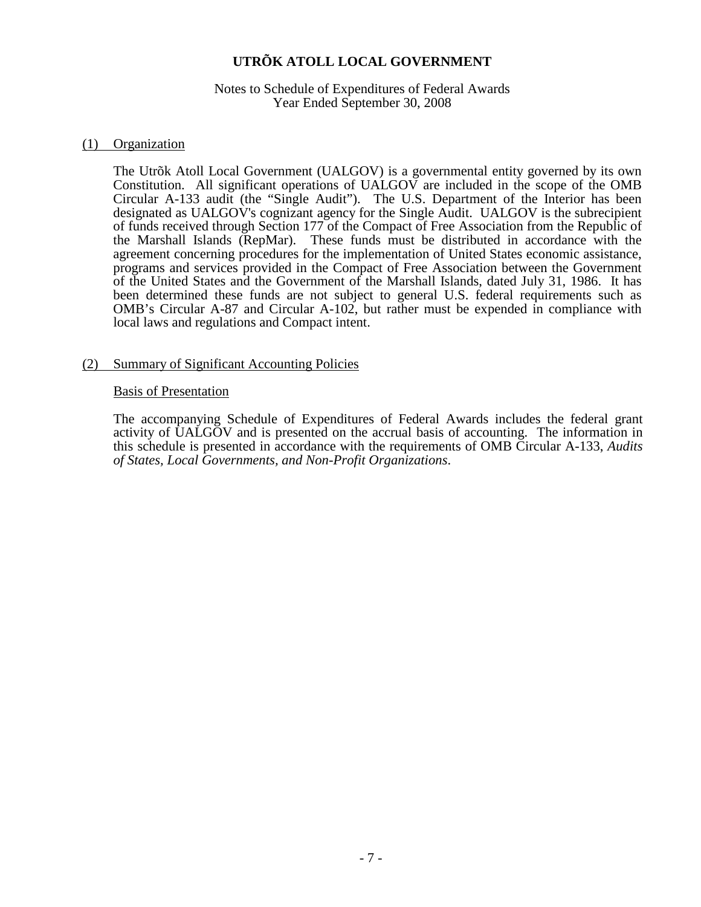#### Notes to Schedule of Expenditures of Federal Awards Year Ended September 30, 2008

#### (1) Organization

The Utrõk Atoll Local Government (UALGOV) is a governmental entity governed by its own Constitution. All significant operations of UALGOV are included in the scope of the OMB Circular A-133 audit (the "Single Audit"). The U.S. Department of the Interior has been designated as UALGOV's cognizant agency for the Single Audit. UALGOV is the subrecipient of funds received through Section 177 of the Compact of Free Association from the Republic of the Marshall Islands (RepMar). These funds must be distributed in accordance with the agreement concerning procedures for the implementation of United States economic assistance, programs and services provided in the Compact of Free Association between the Government of the United States and the Government of the Marshall Islands, dated July 31, 1986. It has been determined these funds are not subject to general U.S. federal requirements such as OMB's Circular A-87 and Circular A-102, but rather must be expended in compliance with local laws and regulations and Compact intent.

#### (2) Summary of Significant Accounting Policies

#### Basis of Presentation

The accompanying Schedule of Expenditures of Federal Awards includes the federal grant activity of UALGOV and is presented on the accrual basis of accounting. The information in this schedule is presented in accordance with the requirements of OMB Circular A-133, *Audits of States, Local Governments, and Non-Profit Organizations*.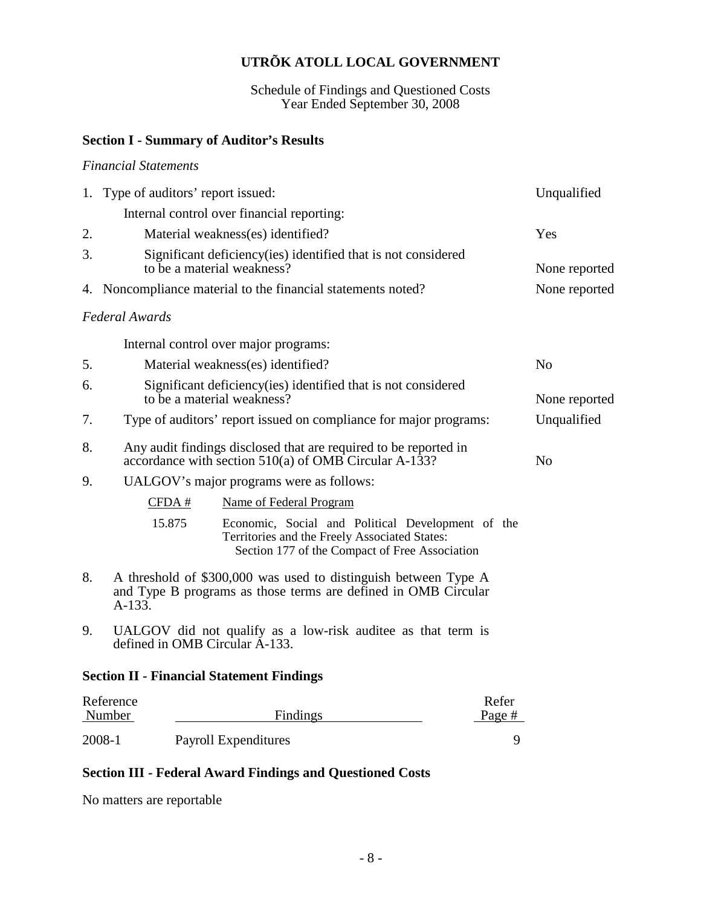Schedule of Findings and Questioned Costs Year Ended September 30, 2008

#### **Section I - Summary of Auditor's Results**

*Financial Statements*

# 1. Type of auditors' report issued: Unqualified Internal control over financial reporting: 2. Material weakness(es) identified? Yes 3. Significant deficiency(ies) identified that is not considered to be a material weakness? None reported 4. Noncompliance material to the financial statements noted? None reported *Federal Awards*  Internal control over major programs: 5. Material weakness(es) identified? No 6. Significant deficiency(ies) identified that is not considered to be a material weakness? 7. Type of auditors' report issued on compliance for major programs: Unqualified 8. Any audit findings disclosed that are required to be reported in accordance with section  $510(a)$  of OMB Circular A-133? 9. UALGOV's major programs were as follows: CFDA # Name of Federal Program 15.875 Economic, Social and Political Development of the Territories and the Freely Associated States: Section 177 of the Compact of Free Association 8. A threshold of \$300,000 was used to distinguish between Type A and Type B programs as those terms are defined in OMB Circular A-133. 9. UALGOV did not qualify as a low-risk auditee as that term is defined in OMB Circular A-133. **Section II - Financial Statement Findings**

| Reference |                      | Refer  |
|-----------|----------------------|--------|
| Number    | Findings             | Page # |
| 2008-1    | Payroll Expenditures |        |
|           |                      |        |

#### **Section III - Federal Award Findings and Questioned Costs**

No matters are reportable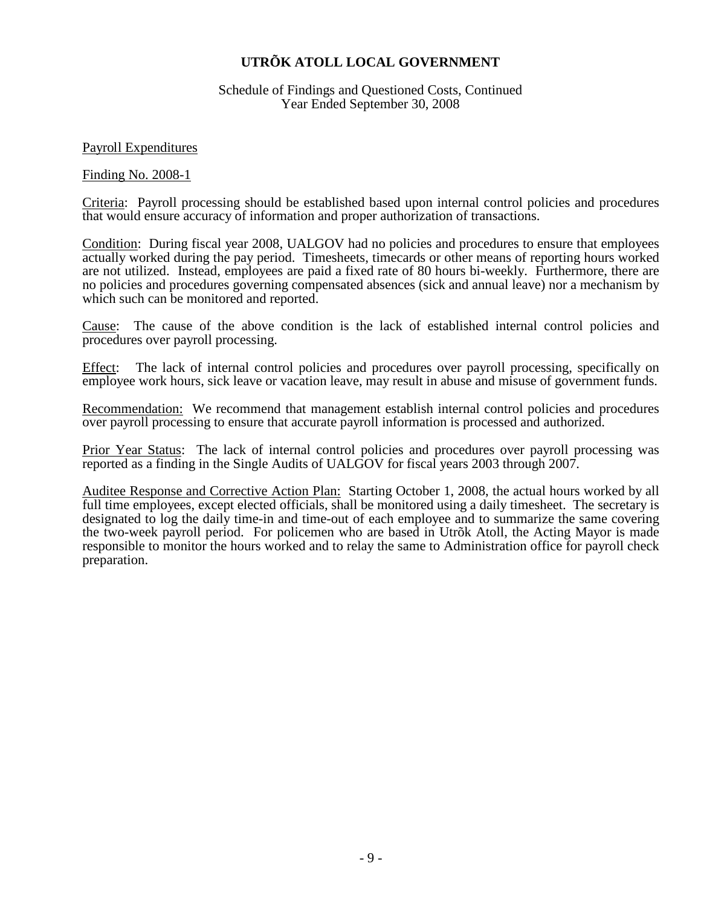Schedule of Findings and Questioned Costs, Continued Year Ended September 30, 2008

Payroll Expenditures

Finding No. 2008-1

Criteria: Payroll processing should be established based upon internal control policies and procedures that would ensure accuracy of information and proper authorization of transactions.

Condition: During fiscal year 2008, UALGOV had no policies and procedures to ensure that employees actually worked during the pay period. Timesheets, timecards or other means of reporting hours worked are not utilized. Instead, employees are paid a fixed rate of 80 hours bi-weekly. Furthermore, there are no policies and procedures governing compensated absences (sick and annual leave) nor a mechanism by which such can be monitored and reported.

Cause: The cause of the above condition is the lack of established internal control policies and procedures over payroll processing.

Effect: The lack of internal control policies and procedures over payroll processing, specifically on employee work hours, sick leave or vacation leave, may result in abuse and misuse of government funds.

Recommendation: We recommend that management establish internal control policies and procedures over payroll processing to ensure that accurate payroll information is processed and authorized.

Prior Year Status: The lack of internal control policies and procedures over payroll processing was reported as a finding in the Single Audits of UALGOV for fiscal years 2003 through 2007.

Auditee Response and Corrective Action Plan: Starting October 1, 2008, the actual hours worked by all full time employees, except elected officials, shall be monitored using a daily timesheet. The secretary is designated to log the daily time-in and time-out of each employee and to summarize the same covering the two-week payroll period. For policemen who are based in Utrõk Atoll, the Acting Mayor is made responsible to monitor the hours worked and to relay the same to Administration office for payroll check preparation.